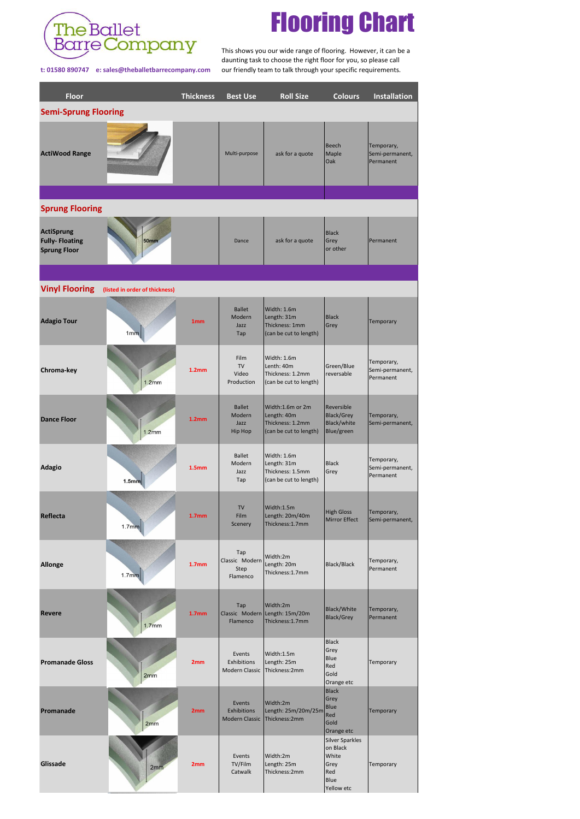

## Flooring Chart

 This shows you our wide range of flooring. However, it can be a daunting task to choose the right floor for you, so please call **t: 01580 890747 e: sales@theballetbarrecompany.com** our friendly team to talk through your specific requirements.

| <b>Floor</b>                                                      |                                | <b>Thickness</b>  | <b>Best Use</b>                                | <b>Roll Size</b>                                                              | <b>Colours</b>                                                                   | <b>Installation</b>                        |  |  |  |  |  |  |
|-------------------------------------------------------------------|--------------------------------|-------------------|------------------------------------------------|-------------------------------------------------------------------------------|----------------------------------------------------------------------------------|--------------------------------------------|--|--|--|--|--|--|
| <b>Semi-Sprung Flooring</b>                                       |                                |                   |                                                |                                                                               |                                                                                  |                                            |  |  |  |  |  |  |
| <b>ActiWood Range</b>                                             |                                |                   | Multi-purpose                                  | ask for a quote                                                               | Beech<br>Maple<br><b>Oak</b>                                                     | Temporary,<br>Semi-permanent,<br>Permanent |  |  |  |  |  |  |
| <b>Sprung Flooring</b>                                            |                                |                   |                                                |                                                                               |                                                                                  |                                            |  |  |  |  |  |  |
| <b>ActiSprung</b><br><b>Fully-Floating</b><br><b>Sprung Floor</b> | <b>50mm</b>                    |                   | Dance                                          | ask for a quote                                                               | <b>Black</b><br>Grey<br>or other                                                 | Permanent                                  |  |  |  |  |  |  |
|                                                                   |                                |                   |                                                |                                                                               |                                                                                  |                                            |  |  |  |  |  |  |
| <b>Vinyl Flooring</b>                                             | (listed in order of thickness) |                   |                                                |                                                                               |                                                                                  |                                            |  |  |  |  |  |  |
| <b>Adagio Tour</b>                                                | 1mm                            | 1 <sub>mm</sub>   | <b>Ballet</b><br>Modern<br>Jazz<br>Tap         | Width: 1.6m<br>Length: 31m<br>Thickness: 1mm<br>(can be cut to length)        | <b>Black</b><br>Grey                                                             | Temporary                                  |  |  |  |  |  |  |
| Chroma-key                                                        | 1.2mm                          | 1.2 <sub>mm</sub> | Film<br><b>TV</b><br>Video<br>Production       | Width: 1.6m<br>Lenth: 40m<br>Thickness: 1.2mm<br>(can be cut to length)       | Green/Blue<br>reversable                                                         | Temporary,<br>Semi-permanent,<br>Permanent |  |  |  |  |  |  |
| <b>Dance Floor</b>                                                | 1.2mm                          | 1.2 <sub>mm</sub> | <b>Ballet</b><br>Modern<br>Jazz<br>Hip Hop     | Width:1.6m or 2m<br>Length: 40m<br>Thickness: 1.2mm<br>(can be cut to length) | Reversible<br><b>Black/Grey</b><br><b>Black/white</b><br>Blue/green              | Temporary,<br>Semi-permanent,              |  |  |  |  |  |  |
| <b>Adagio</b>                                                     | 1.5mm                          | 1.5 <sub>mm</sub> | <b>Ballet</b><br>Modern<br>Jazz<br>Tap         | Width: 1.6m<br>Length: 31m<br>Thickness: 1.5mm<br>(can be cut to length)      | <b>Black</b><br>Grey                                                             | Temporary,<br>Semi-permanent,<br>Permanent |  |  |  |  |  |  |
| <b>Reflecta</b>                                                   | 1.7mm                          | 1.7 <sub>mm</sub> | TV<br>Film<br>Scenery                          | Width:1.5m<br>Length: 20m/40m<br>Thickness:1.7mm                              | <b>High Gloss</b><br>Mirror Effect                                               | Temporary,<br>Semi-permanent,              |  |  |  |  |  |  |
| <b>Allonge</b>                                                    | 1.7mm                          | 1.7 <sub>mm</sub> | Tap<br>Classic Modern<br>Step<br>Flamenco      | Width:2m<br>Length: 20m<br>Thickness:1.7mm                                    | <b>Black/Black</b>                                                               | Temporary,<br>Permanent                    |  |  |  |  |  |  |
| <b>Revere</b>                                                     | 1.7mm                          | 1.7 <sub>mm</sub> | Tap<br>Flamenco                                | Width:2m<br>Classic Modern Length: 15m/20m<br>Thickness:1.7mm                 | <b>Black/White</b><br><b>Black/Grey</b>                                          | Temporary,<br>Permanent                    |  |  |  |  |  |  |
| <b>Promanade Gloss</b>                                            | 2mm                            | 2mm               | Events<br>Exhibitions<br><b>Modern Classic</b> | Width:1.5m<br>Length: 25m<br>Thickness:2mm                                    | <b>Black</b><br>Grey<br><b>Blue</b><br>Red<br>Gold<br>Orange etc                 | Temporary                                  |  |  |  |  |  |  |
| Promanade                                                         | 2mm                            | 2mm               | Events<br>Exhibitions<br><b>Modern Classic</b> | Width:2m<br>Length: 25m/20m/25m<br>Thickness:2mm                              | <b>Black</b><br>Grey<br><b>Blue</b><br>Red<br>Gold<br>Orange etc                 | Temporary                                  |  |  |  |  |  |  |
| <b>Glissade</b>                                                   | 2mm                            | 2mm               | Events<br>TV/Film<br>Catwalk                   | Width:2m<br>Length: 25m<br>Thickness:2mm                                      | <b>Silver Sparkles</b><br>on Black<br>White<br>Grey<br>Red<br>Blue<br>Yellow etc | Temporary                                  |  |  |  |  |  |  |